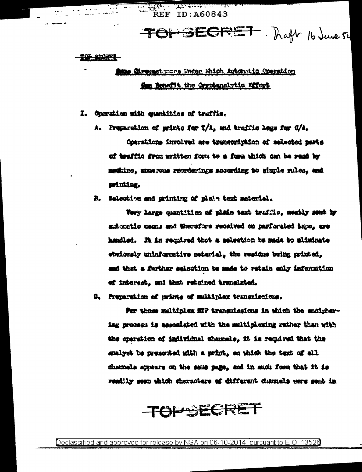ANG KABUPAT **REF ID: A60843** 

TOFSECRET Raft 16 June 54

#### <u> 10 2021</u>

## **Same Circumstruce Under Which Automatic Operation** Om Benefit the Gryptenslytic Mfort

I. Operation with exemities of traffie,

A. Preparation of prints for T/A, and traffic logs for G/A, Operations involved are transcription of selected parts of traffic from written form to a form which can be read by meghine, muse yous reprdenings according to gimple rules, and printing.

B. Selection and grinting of plein text material.

Very large quantities of plain text trafflo, mostly sent by subcoatio means and therefore received on parfurated topo, are hendled. It is required that a selection be made to aliminate obviously uninformative meterial, the residus being printed, and that a further selection be made to retain only infermation ef interest, and that retained translated.

0. Preparation of prints of multiplex transmissions.

For those saitinies ETP transmissions in which the endighering process is associated with the multiplexing rather than with the operation of individual shamels, it is required that the smalyst be presented with a print, en which the text of all channels appears on the same page, and in mud: form that it is readily seen which characters of different dubrals were sent in

TOPSECRET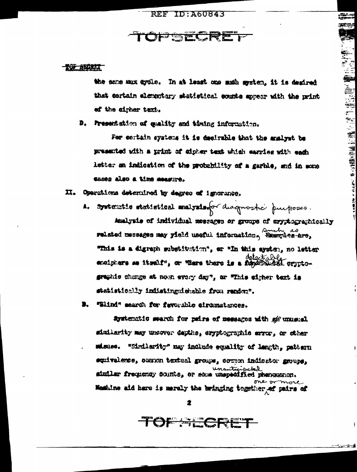# **OF SECT**

#### 光学 苏联球工

the same mux dydle. In at least one much mystem, it is degired that cortain elementary statistical counts appear with the print of the airher text.

D. Presentation of quality and timing information.

For certain systems it is desirable that the analyst be presented with a print of sigher test which earnies with each letter an indication of the probability of a garble, and in mone cases also a time measure.

II. Operations determined by degree of ignorance.

systematic statistical maission diagnostic purposes. A.

Amalysis of individual messages or groups of aryphographically related messages may yield useful information, Examples-are, "This is a digraph substitution", or "In this aysten, no letter detectal enciphers as itself", or where there is a forgotted orgatographic change at nown every day", or "This eigher text is statistically indistinguishable from render.

"Blind" search for fevorable eirumstances.

ayatemetic search for pairs of messages with as unusual similarity may uncover depths, eryptographic error, or other misuse. "Similarity" may include equality of length, pattern squivalence, ocenen textual groups, comme indicator groups, unanticipated distinct frequency sounts, or seen unanticipated phenomenon. one or Maskins aid here is marely the bringing together af pairs of

TOF ALCRET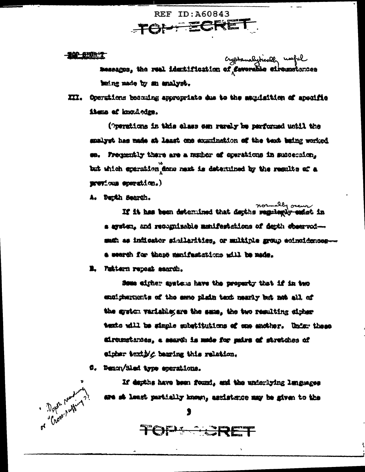**REF ID: A60843** TOI- ECRE

**BAR BEER T** 

cypromalytically useful<br>**Easescos, the real identification of Easorable einemot**erces heing made by an analyst.

XII. Operations becaming appropriate due to the sequisition of apocific items of knowledge.

(permitons in this class can rarely be performed until the smalyst has made at least one examination of the text baing worked Frequently there are a mumber of courations in succeeding. but which speration done ment is determined by the results of a previous speration.)

A. Durth Search.

mounably occur.<br>If it has been determined that depths suggingly-ended in a ayutun, and recognizable manifestations of denth observedsmah as indicator similarities, or multiple group ecinoidencesa wearth for thase manifestations will be made.

E. Pattern repeat saardh.

Some wither armicus have the property that if in two entipherments of the seme plain text meanly but not all of the system variable; are the sma, the two resulting sipher texts will be simple substitutions of one another. Under these airtumstandes, a maardh is made for pairs of stretches of eipher textly thering this relation.

C. Denon/Sled type eperations.

If dayths have been found, and the underlying lunguages are at least partially known, assistance may be given to the

TOPLERET

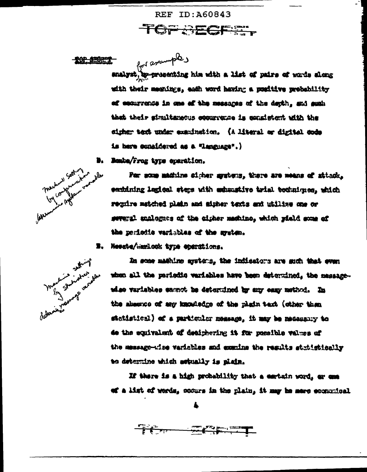**REF ID: A60843** Company of the Company of the Company of the Company of the Company of the Company of the Company of the Company of the Company of the Company of the Company of the Company of the Company of the Company of the Company of t

天好 经时限学

for espamples p-presenting him with a list of pairs of words along analyst. with their meanings, each word having a positive prebability af escurrence in one of the messages of the depth, and such that their simultaneous economics is consistent with the eigher test under examination. (A literal or digital code is here considered as a "Language".)

Bombe/Frog type operation. B.



For some machine sigher system, there are means of stinck, centining legical steps with exhaustive trial techniques, which require matched plain and sigher texts and utilize one or sweral enalogues of the cigher machino, which yield some of the periodic variables of the system.

з. Newate/warlook type eperations.



In some mahine systems, the indicators are such that even when all the pariedic variables have been determined, the massagewhee variables sampt he determined by any easy method. In the absence of any knowledge of the plain text (other than statistical) of a particular message. it may be medesany to de the equivalent of desighering it for possible values of the message-wise variables and examins the regults statistically to determine which setually is misin.

If there is a high probability that a cartain word, or com of a list of words, codurs in the plain, it may be mere economical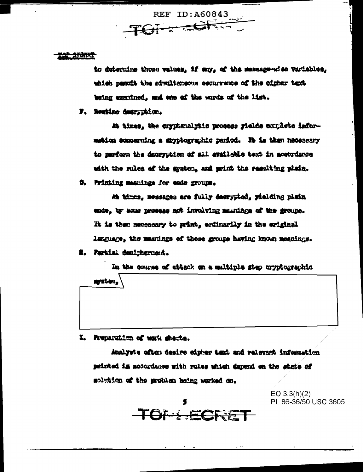REF ID: A60843

### **THE SECRET**

to determine those values, if my, of the massage-wise variables, which permit the airmltaneous equurrence of the cipher text. being executed, and one of the words of the list.

F. Residne decryption.

At times, the cryptanalytic process yields complete informetica economing a divitographic pariod. It is then heceneary to parform the decryption of all available text in accordance with the rules of the graten, and print the resulting plain.

6. Printing meanings for eeds groups.

Ma times, messages are fully decrypted, yielding plain. ende, by some prosess not involving meanings of the groupe. It is then mecessary to print, endinarily in the original lenguage, the meanings of those groups having known meanings.

N. Pertial deutphermant.

In the course of attack on a multiple step cryptographic system.

I. Preparation of work sheets.

> Amalysts often desire signer text and relevant information printed in accordance with rules which depend on the state of solution of the problem being worked on.

> > TONECRE

EO  $3.3(h)(2)$ PL 86-36/50 USC 3605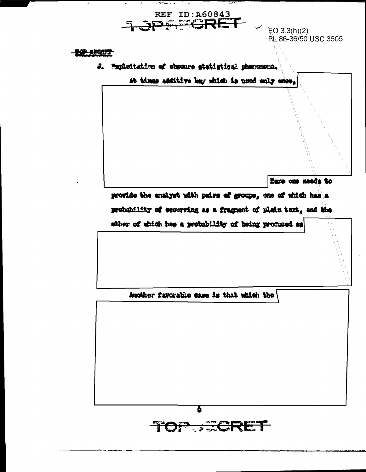

 $1.77774772$ 

 $\sim$  EO 3.3(h)(2) PL 86-36/50 USC 3605

**TOP SHOTS** 

J. Exploitation of obscure statistical phenomena.

Mt times additive key which is used only ones,

Eare one needs to

provide the enalyst with pairs of groups, one of which has a

probability of equatring as a fragment of plain text, and the

sther of which has a probability of heing produced as

Auctior favorable ease is that which the

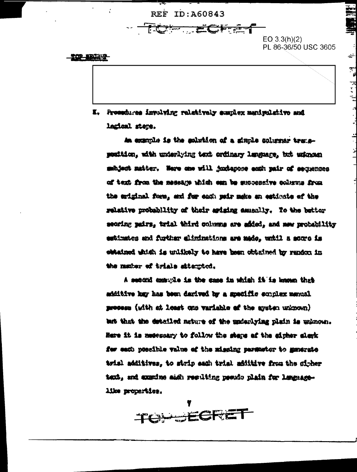**REF ID: A60843** 

TO CHA

 $EO 3.3(h)(2)$ PL 86-36/50 USC 3605

202 12022

I. Prosecures involving relatively exaplex meniculative and lazioni steps.

An example is the solution of a signle columns transposition, with unterlying text ordinary lenguage, but unionen mahjant matter. Here one will juxterose each pair of secuences of text from the message which can be successive columns from the eriginal furm, and for each pair make an estimate of the relative probability of their arising assemily. To the better seoring pairs, trial third columns are added, and new probability estimates and further eliminations are made, until a soure is chtained which is unlikely to have been obtained by rendon in the matter of trials attented.

A second mesure is the case in which it is known that additive hay has been darived by a specific scholar menual process (with at least one variable of the ayeton unknown) ant that the detailed nature of the moderlying plain is unknown. Here it is meessary to follow the steps of the cipher sleck for each possible value of the missing parswiter to memorate trial additives, to strip each trial additive from the cipher text, and exacine aish resulting pseudo plain for languagelike properties.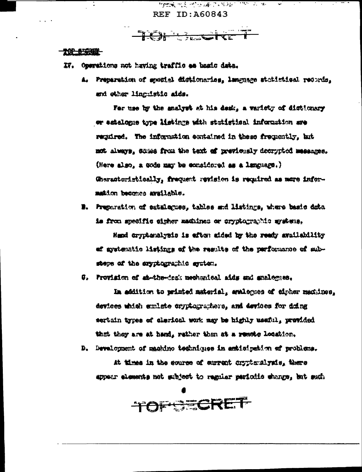网络最大学 网络海岸 医阿尔伯氏病 **REF ID: A60843** 

TCH Backfert

#### 10 59 S

- IV. Operations not having traffic as basic data.
	- A. Preparation of greatel distignaries, language statistical records, and other linguistic aids.

For use by the snalyst at his desk, a variety of distinary or estalogie type listings with statistical information are regired. The information contained in these frequently, but not always, stress from the text of previously decrypted messages. (Here also, a sode may be considered as a language.) Characteristically, frequent revision is required as more information becomes available.

B. Preparation of satularuss, tables and listings, where basic data is from specific cigher machines or cryptographic systems.

Head cryphenalysis is eften aided by the ready availability of gystematic listings of the regults of the parformance of substeps of the cryptographic system.

0. Provision of sh-the-desk mechanical sids and analogues.

In addition to printed material, analogues of cipher maximes, devices which smlate cryptographers, and devices for deing sertain types of clerical work may be highly useful, provided that they are at hand, rather than at a reacte location.

D. Development of machino techniques in anticipation of problems.

At times in the course of current coppionalysis, there appear elements not subject to regular periodic shange, but such